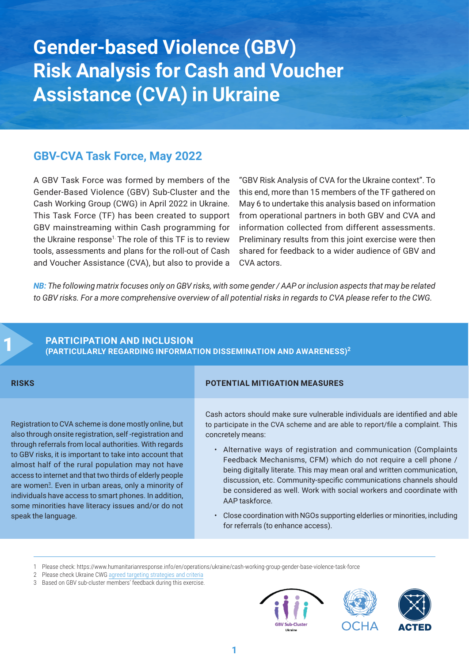**Gender-based Violence (GBV) Risk Analysis for Cash and Voucher Assistance (CVA) in Ukraine**

### **GBV-CVA Task Force, May 2022**

A GBV Task Force was formed by members of the Gender-Based Violence (GBV) Sub-Cluster and the Cash Working Group (CWG) in April 2022 in Ukraine. This Task Force (TF) has been created to support GBV mainstreaming within Cash programming for the Ukraine response<sup>1</sup> The role of this TF is to review tools, assessments and plans for the roll-out of Cash and Voucher Assistance (CVA), but also to provide a

"GBV Risk Analysis of CVA for the Ukraine context". To this end, more than 15 members of the TF gathered on May 6 to undertake this analysis based on information from operational partners in both GBV and CVA and information collected from different assessments. Preliminary results from this joint exercise were then shared for feedback to a wider audience of GBV and CVA actors.

*NB: The following matrix focuses only on GBV risks, with some gender / AAP or inclusion aspects that may be related to GBV risks. For a more comprehensive overview of all potential risks in regards to CVA please refer to the CWG.*

## 1 **PARTICIPATION AND INCLUSION (PARTICULARLY REGARDING INFORMATION DISSEMINATION AND AWARENESS)<sup>2</sup>**

Registration to CVA scheme is done mostly online, but also through onsite registration, self -registration and through referrals from local authorities. With regards to GBV risks, it is important to take into account that almost half of the rural population may not have access to internet and that two thirds of elderly people are women<sup>3</sup>. Even in urban areas, only a minority of individuals have access to smart phones. In addition, some minorities have literacy issues and/or do not speak the language.

#### **RISKS POTENTIAL MITIGATION MEASURES**

Cash actors should make sure vulnerable individuals are identified and able to participate in the CVA scheme and are able to report/file a complaint. This concretely means:

- Alternative ways of registration and communication (Complaints Feedback Mechanisms, CFM) which do not require a cell phone / being digitally literate. This may mean oral and written communication, discussion, etc. Community-specific communications channels should be considered as well. Work with social workers and coordinate with AAP taskforce.
- Close coordination with NGOs supporting elderlies or minorities, including for referrals (to enhance access).

- 2 Please check Ukraine CWG agreed [targeting strategies and criteria](https://www.humanitarianresponse.info/sites/www.humanitarianresponse.info/files/documents/files/ukraine_cwg_key_agreements_on_aargeting_task_team_1_22032022.pdf)
- 3 Based on GBV sub-cluster members' feedback during this exercise.



<sup>1</sup> Please check: https://www.humanitarianresponse.info/en/operations/ukraine/cash-working-group-gender-base-violence-task-force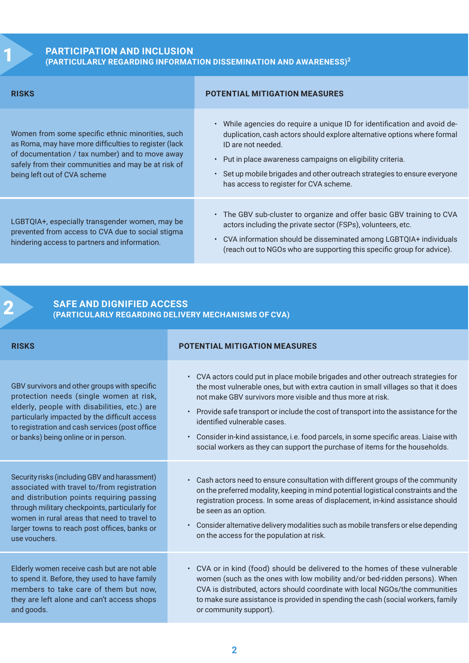# 1 **PARTICIPATION AND INCLUSION (PARTICULARLY REGARDING INFORMATION DISSEMINATION AND AWARENESS)<sup>2</sup>**

| <b>RISKS</b>                                                                                                                                                                                                                                        | <b>POTENTIAL MITIGATION MEASURES</b>                                                                                                                                                                                                                                                                                                                         |
|-----------------------------------------------------------------------------------------------------------------------------------------------------------------------------------------------------------------------------------------------------|--------------------------------------------------------------------------------------------------------------------------------------------------------------------------------------------------------------------------------------------------------------------------------------------------------------------------------------------------------------|
| Women from some specific ethnic minorities, such<br>as Roma, may have more difficulties to register (lack<br>of documentation / tax number) and to move away<br>safely from their communities and may be at risk of<br>being left out of CVA scheme | . While agencies do require a unique ID for identification and avoid de-<br>duplication, cash actors should explore alternative options where formal<br>ID are not needed.<br>Put in place awareness campaigns on eligibility criteria.<br>Set up mobile brigades and other outreach strategies to ensure everyone<br>has access to register for CVA scheme. |
| LGBTQIA+, especially transgender women, may be<br>prevented from access to CVA due to social stigma<br>hindering access to partners and information.                                                                                                | • The GBV sub-cluster to organize and offer basic GBV training to CVA<br>actors including the private sector (FSPs), volunteers, etc.<br>CVA information should be disseminated among LGBTQIA+ individuals<br>$\bullet$<br>(reach out to NGOs who are supporting this specific group for advice).                                                            |

# 2 **SAFE AND DIGNIFIED ACCESS (PARTICULARLY REGARDING DELIVERY MECHANISMS OF CVA)**

| <b>RISKS</b>                                                                                                                                                                                                                                                                       | <b>POTENTIAL MITIGATION MEASURES</b>                                                                                                                                                                                                                                                                                                                                                                                                                                                                                                             |
|------------------------------------------------------------------------------------------------------------------------------------------------------------------------------------------------------------------------------------------------------------------------------------|--------------------------------------------------------------------------------------------------------------------------------------------------------------------------------------------------------------------------------------------------------------------------------------------------------------------------------------------------------------------------------------------------------------------------------------------------------------------------------------------------------------------------------------------------|
| GBV survivors and other groups with specific<br>protection needs (single women at risk,<br>elderly, people with disabilities, etc.) are<br>particularly impacted by the difficult access<br>to registration and cash services (post office<br>or banks) being online or in person. | • CVA actors could put in place mobile brigades and other outreach strategies for<br>the most vulnerable ones, but with extra caution in small villages so that it does<br>not make GBV survivors more visible and thus more at risk.<br>Provide safe transport or include the cost of transport into the assistance for the<br>identified vulnerable cases.<br>Consider in-kind assistance, i.e. food parcels, in some specific areas. Liaise with<br>$\bullet$<br>social workers as they can support the purchase of items for the households. |
| Security risks (including GBV and harassment)                                                                                                                                                                                                                                      | Cash actors need to ensure consultation with different groups of the community                                                                                                                                                                                                                                                                                                                                                                                                                                                                   |
| associated with travel to/from registration                                                                                                                                                                                                                                        | on the preferred modality, keeping in mind potential logistical constraints and the                                                                                                                                                                                                                                                                                                                                                                                                                                                              |
| and distribution points requiring passing                                                                                                                                                                                                                                          | registration process. In some areas of displacement, in-kind assistance should                                                                                                                                                                                                                                                                                                                                                                                                                                                                   |
| through military checkpoints, particularly for                                                                                                                                                                                                                                     | be seen as an option.                                                                                                                                                                                                                                                                                                                                                                                                                                                                                                                            |
| women in rural areas that need to travel to                                                                                                                                                                                                                                        | Consider alternative delivery modalities such as mobile transfers or else depending                                                                                                                                                                                                                                                                                                                                                                                                                                                              |
| larger towns to reach post offices, banks or                                                                                                                                                                                                                                       | $\bullet$                                                                                                                                                                                                                                                                                                                                                                                                                                                                                                                                        |
| use vouchers.                                                                                                                                                                                                                                                                      | on the access for the population at risk.                                                                                                                                                                                                                                                                                                                                                                                                                                                                                                        |
| Elderly women receive cash but are not able                                                                                                                                                                                                                                        | • CVA or in kind (food) should be delivered to the homes of these vulnerable                                                                                                                                                                                                                                                                                                                                                                                                                                                                     |
| to spend it. Before, they used to have family                                                                                                                                                                                                                                      | women (such as the ones with low mobility and/or bed-ridden persons). When                                                                                                                                                                                                                                                                                                                                                                                                                                                                       |
| members to take care of them but now,                                                                                                                                                                                                                                              | CVA is distributed, actors should coordinate with local NGOs/the communities                                                                                                                                                                                                                                                                                                                                                                                                                                                                     |
| they are left alone and can't access shops                                                                                                                                                                                                                                         | to make sure assistance is provided in spending the cash (social workers, family                                                                                                                                                                                                                                                                                                                                                                                                                                                                 |
| and goods.                                                                                                                                                                                                                                                                         | or community support).                                                                                                                                                                                                                                                                                                                                                                                                                                                                                                                           |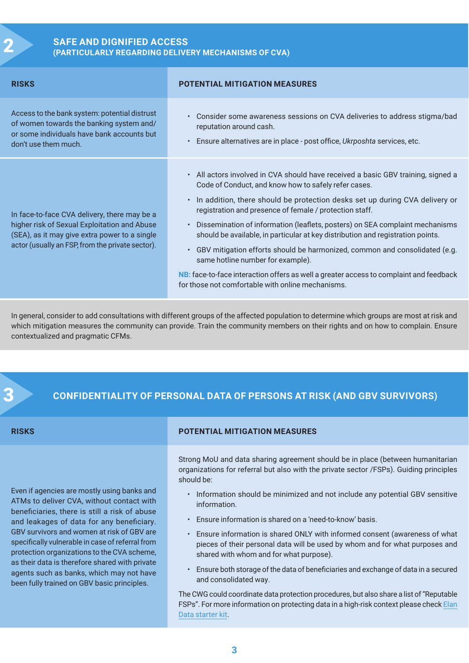# 2 **SAFE AND DIGNIFIED ACCESS (PARTICULARLY REGARDING DELIVERY MECHANISMS OF CVA)**

| <b>RISKS</b>                                                                                                                                                                                      | <b>POTENTIAL MITIGATION MEASURES</b>                                                                                                                                                                                                                                                                                                                                                                                                                                                                                                                                                                                                                                                                                        |
|---------------------------------------------------------------------------------------------------------------------------------------------------------------------------------------------------|-----------------------------------------------------------------------------------------------------------------------------------------------------------------------------------------------------------------------------------------------------------------------------------------------------------------------------------------------------------------------------------------------------------------------------------------------------------------------------------------------------------------------------------------------------------------------------------------------------------------------------------------------------------------------------------------------------------------------------|
| Access to the bank system: potential distrust<br>of women towards the banking system and/<br>or some individuals have bank accounts but<br>don't use them much.                                   | Consider some awareness sessions on CVA deliveries to address stigma/bad<br>reputation around cash.<br>Ensure alternatives are in place - post office, Ukrposhta services, etc.                                                                                                                                                                                                                                                                                                                                                                                                                                                                                                                                             |
| In face-to-face CVA delivery, there may be a<br>higher risk of Sexual Exploitation and Abuse<br>(SEA), as it may give extra power to a single<br>actor (usually an FSP, from the private sector). | • All actors involved in CVA should have received a basic GBV training, signed a<br>Code of Conduct, and know how to safely refer cases.<br>• In addition, there should be protection desks set up during CVA delivery or<br>registration and presence of female / protection staff.<br>• Dissemination of information (leaflets, posters) on SEA complaint mechanisms<br>should be available, in particular at key distribution and registration points.<br>GBV mitigation efforts should be harmonized, common and consolidated (e.g.<br>same hotline number for example).<br>NB: face-to-face interaction offers as well a greater access to complaint and feedback<br>for those not comfortable with online mechanisms. |

In general, consider to add consultations with different groups of the affected population to determine which groups are most at risk and which mitigation measures the community can provide. Train the community members on their rights and on how to complain. Ensure contextualized and pragmatic CFMs.



#### 3 **CONFIDENTIALITY OF PERSONAL DATA OF PERSONS AT RISK (AND GBV SURVIVORS)**

Even if agencies are mostly using banks and ATMs to deliver CVA, without contact with beneficiaries, there is still a risk of abuse and leakages of data for any beneficiary. GBV survivors and women at risk of GBV are specifically vulnerable in case of referral from protection organizations to the CVA scheme, as their data is therefore shared with private agents such as banks, which may not have been fully trained on GBV basic principles.

#### **RISKS POTENTIAL MITIGATION MEASURES**

Strong MoU and data sharing agreement should be in place (between humanitarian organizations for referral but also with the private sector /FSPs). Guiding principles should be:

- Information should be minimized and not include any potential GBV sensitive information.
- Ensure information is shared on a 'need-to-know' basis.
- Ensure information is shared ONLY with informed consent (awareness of what pieces of their personal data will be used by whom and for what purposes and shared with whom and for what purpose).
- Ensure both storage of the data of beneficiaries and exchange of data in a secured and consolidated way.

The CWG could coordinate data protection procedures, but also share a list of "Reputable FSPs". For more information on protecting data in a high-risk context please check Elan [Data starter kit.](https://www.calpnetwork.org/blog/introducing-the-elan-data-starter-kit/)